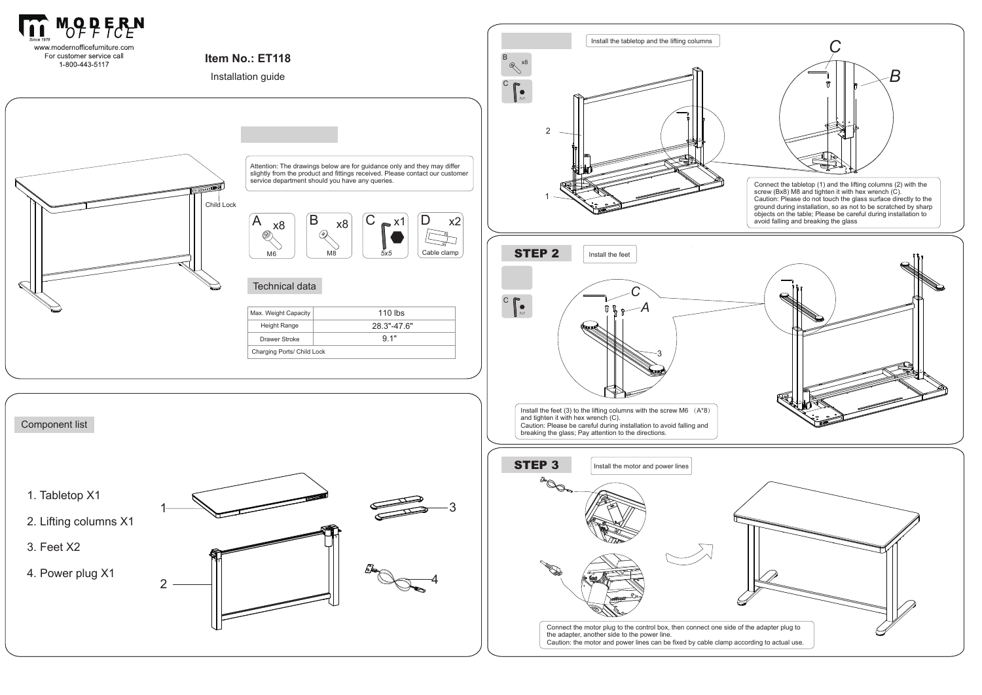